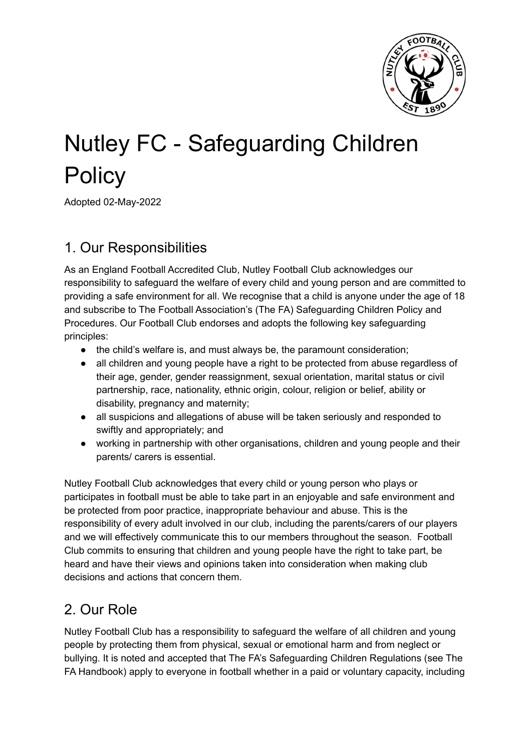

# Nutley FC - Safeguarding Children **Policy**

Adopted 02-May-2022

## 1. Our Responsibilities

As an England Football Accredited Club, Nutley Football Club acknowledges our responsibility to safeguard the welfare of every child and young person and are committed to providing a safe environment for all. We recognise that a child is anyone under the age of 18 and subscribe to The Football Association's (The FA) Safeguarding Children Policy and Procedures. Our Football Club endorses and adopts the following key safeguarding principles:

- the child's welfare is, and must always be, the paramount consideration;
- all children and young people have a right to be protected from abuse regardless of their age, gender, gender reassignment, sexual orientation, marital status or civil partnership, race, nationality, ethnic origin, colour, religion or belief, ability or disability, pregnancy and maternity;
- all suspicions and allegations of abuse will be taken seriously and responded to swiftly and appropriately; and
- working in partnership with other organisations, children and young people and their parents/ carers is essential.

Nutley Football Club acknowledges that every child or young person who plays or participates in football must be able to take part in an enjoyable and safe environment and be protected from poor practice, inappropriate behaviour and abuse. This is the responsibility of every adult involved in our club, including the parents/carers of our players and we will effectively communicate this to our members throughout the season. Football Club commits to ensuring that children and young people have the right to take part, be heard and have their views and opinions taken into consideration when making club decisions and actions that concern them.

## 2. Our Role

Nutley Football Club has a responsibility to safeguard the welfare of all children and young people by protecting them from physical, sexual or emotional harm and from neglect or bullying. It is noted and accepted that The FA's Safeguarding Children Regulations (see The FA Handbook) apply to everyone in football whether in a paid or voluntary capacity, including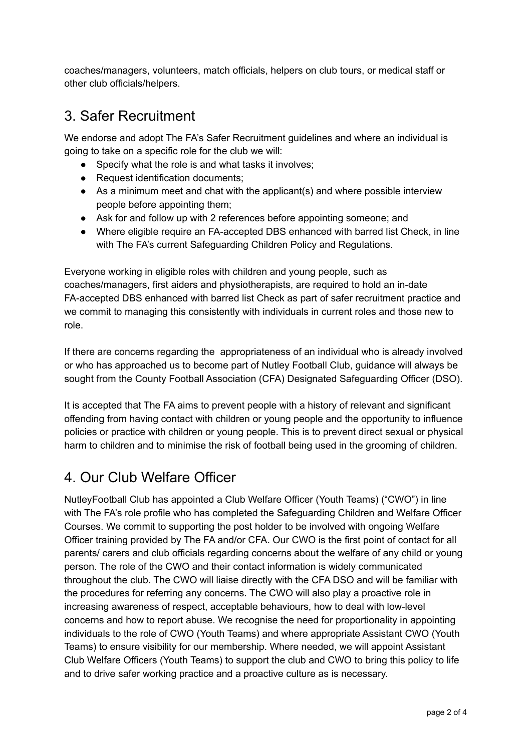coaches/managers, volunteers, match officials, helpers on club tours, or medical staff or other club officials/helpers.

#### 3. Safer Recruitment

We endorse and adopt The FA's Safer Recruitment guidelines and where an individual is going to take on a specific role for the club we will:

- Specify what the role is and what tasks it involves;
- Request identification documents;
- As a minimum meet and chat with the applicant(s) and where possible interview people before appointing them;
- Ask for and follow up with 2 references before appointing someone; and
- Where eligible require an FA-accepted DBS enhanced with barred list Check, in line with The FA's current Safeguarding Children Policy and Regulations.

Everyone working in eligible roles with children and young people, such as coaches/managers, first aiders and physiotherapists, are required to hold an in-date FA-accepted DBS enhanced with barred list Check as part of safer recruitment practice and we commit to managing this consistently with individuals in current roles and those new to role.

If there are concerns regarding the appropriateness of an individual who is already involved or who has approached us to become part of Nutley Football Club, guidance will always be sought from the County Football Association (CFA) Designated Safeguarding Officer (DSO).

It is accepted that The FA aims to prevent people with a history of relevant and significant offending from having contact with children or young people and the opportunity to influence policies or practice with children or young people. This is to prevent direct sexual or physical harm to children and to minimise the risk of football being used in the grooming of children.

## 4. Our Club Welfare Officer

NutleyFootball Club has appointed a Club Welfare Officer (Youth Teams) ("CWO") in line with The FA's role profile who has completed the Safeguarding Children and Welfare Officer Courses. We commit to supporting the post holder to be involved with ongoing Welfare Officer training provided by The FA and/or CFA. Our CWO is the first point of contact for all parents/ carers and club officials regarding concerns about the welfare of any child or young person. The role of the CWO and their contact information is widely communicated throughout the club. The CWO will liaise directly with the CFA DSO and will be familiar with the procedures for referring any concerns. The CWO will also play a proactive role in increasing awareness of respect, acceptable behaviours, how to deal with low-level concerns and how to report abuse. We recognise the need for proportionality in appointing individuals to the role of CWO (Youth Teams) and where appropriate Assistant CWO (Youth Teams) to ensure visibility for our membership. Where needed, we will appoint Assistant Club Welfare Officers (Youth Teams) to support the club and CWO to bring this policy to life and to drive safer working practice and a proactive culture as is necessary.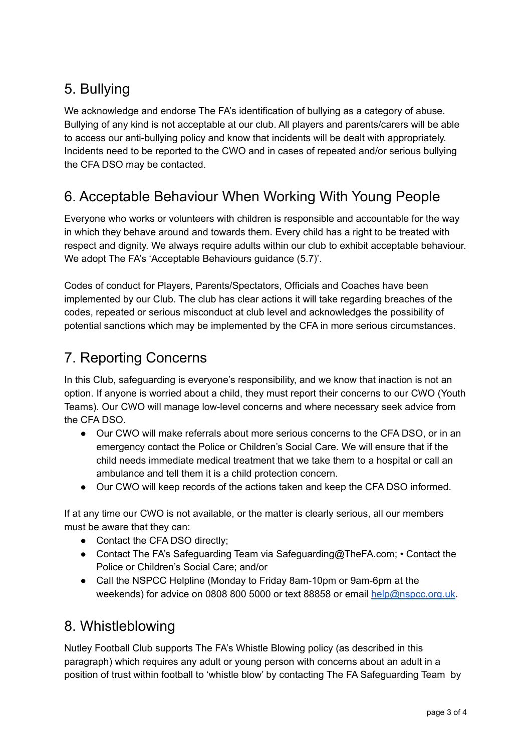# 5. Bullying

We acknowledge and endorse The FA's identification of bullying as a category of abuse. Bullying of any kind is not acceptable at our club. All players and parents/carers will be able to access our anti-bullying policy and know that incidents will be dealt with appropriately. Incidents need to be reported to the CWO and in cases of repeated and/or serious bullying the CFA DSO may be contacted.

## 6. Acceptable Behaviour When Working With Young People

Everyone who works or volunteers with children is responsible and accountable for the way in which they behave around and towards them. Every child has a right to be treated with respect and dignity. We always require adults within our club to exhibit acceptable behaviour. We adopt The FA's 'Acceptable Behaviours guidance (5.7)'.

Codes of conduct for Players, Parents/Spectators, Officials and Coaches have been implemented by our Club. The club has clear actions it will take regarding breaches of the codes, repeated or serious misconduct at club level and acknowledges the possibility of potential sanctions which may be implemented by the CFA in more serious circumstances.

#### 7. Reporting Concerns

In this Club, safeguarding is everyone's responsibility, and we know that inaction is not an option. If anyone is worried about a child, they must report their concerns to our CWO (Youth Teams). Our CWO will manage low-level concerns and where necessary seek advice from the CFA DSO.

- Our CWO will make referrals about more serious concerns to the CFA DSO, or in an emergency contact the Police or Children's Social Care. We will ensure that if the child needs immediate medical treatment that we take them to a hospital or call an ambulance and tell them it is a child protection concern.
- Our CWO will keep records of the actions taken and keep the CFA DSO informed.

If at any time our CWO is not available, or the matter is clearly serious, all our members must be aware that they can:

- Contact the CFA DSO directly:
- Contact The FA's Safeguarding Team via Safeguarding@TheFA.com; Contact the Police or Children's Social Care; and/or
- Call the NSPCC Helpline (Monday to Friday 8am-10pm or 9am-6pm at the weekends) for advice on 0808 800 5000 or text 88858 or email [help@nspcc.org.uk](mailto:help@nspcc.org.uk).

#### 8. Whistleblowing

Nutley Football Club supports The FA's Whistle Blowing policy (as described in this paragraph) which requires any adult or young person with concerns about an adult in a position of trust within football to 'whistle blow' by contacting The FA Safeguarding Team by